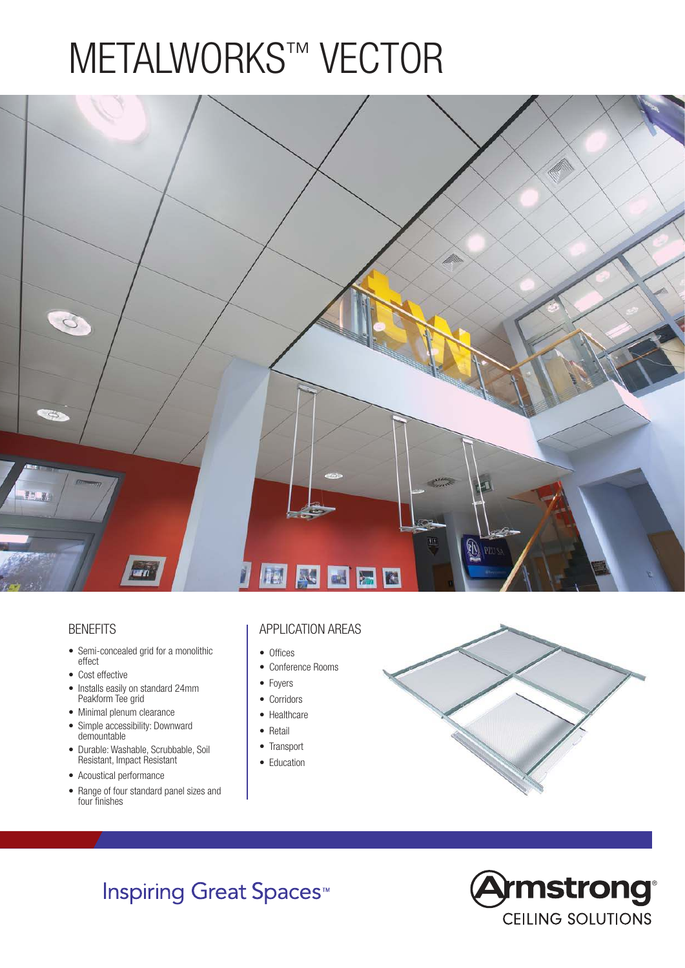# METALWORKS™ VECTOR



#### **BENEFITS**

- Semi-concealed grid for a monolithic effect
- Cost effective
- Installs easily on standard 24mm Peakform Tee grid
- Minimal plenum clearance
- Simple accessibility: Downward demountable
- Durable: Washable, Scrubbable, Soil Resistant, Impact Resistant
- Acoustical performance
- Range of four standard panel sizes and four finishes

#### APPLICATION AREAS

- Offices
- Conference Rooms
- Foyers
- Corridors
- Healthcare
- Retail
- Transport
- Education



## **Inspiring Great Spaces<sup>™</sup>**